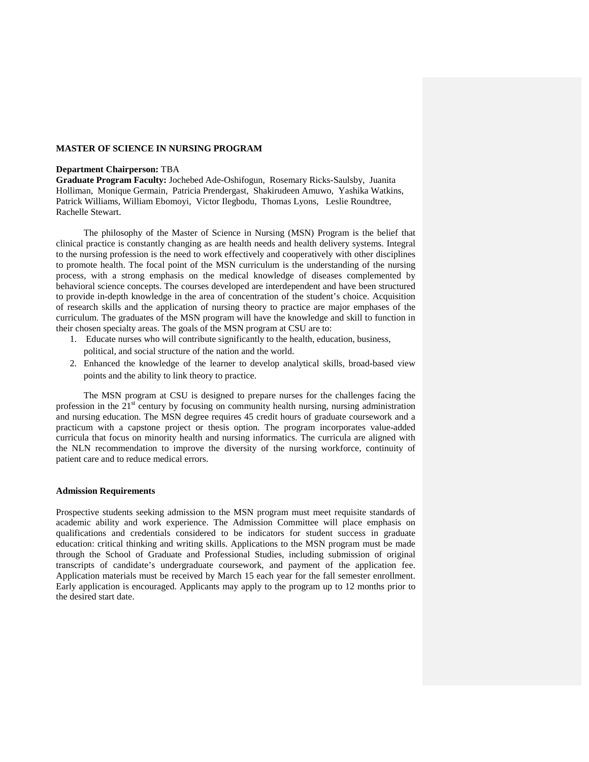### **MASTER OF SCIENCE IN NURSING PROGRAM**

#### **Department Chairperson:** TBA

**Graduate Program Faculty:** Jochebed Ade-Oshifogun, Rosemary Ricks-Saulsby, Juanita Holliman, Monique Germain, Patricia Prendergast, Shakirudeen Amuwo, Yashika Watkins, Patrick Williams, William Ebomoyi, Victor Ilegbodu, Thomas Lyons, Leslie Roundtree, Rachelle Stewart.

The philosophy of the Master of Science in Nursing (MSN) Program is the belief that clinical practice is constantly changing as are health needs and health delivery systems. Integral to the nursing profession is the need to work effectively and cooperatively with other disciplines to promote health. The focal point of the MSN curriculum is the understanding of the nursing process, with a strong emphasis on the medical knowledge of diseases complemented by behavioral science concepts. The courses developed are interdependent and have been structured to provide in-depth knowledge in the area of concentration of the student's choice. Acquisition of research skills and the application of nursing theory to practice are major emphases of the curriculum. The graduates of the MSN program will have the knowledge and skill to function in their chosen specialty areas. The goals of the MSN program at CSU are to:

- 1. Educate nurses who will contribute significantly to the health, education, business, political, and social structure of the nation and the world.
- 2. Enhanced the knowledge of the learner to develop analytical skills, broad-based view points and the ability to link theory to practice.

The MSN program at CSU is designed to prepare nurses for the challenges facing the profession in the  $21<sup>st</sup>$  century by focusing on community health nursing, nursing administration and nursing education. The MSN degree requires 45 credit hours of graduate coursework and a practicum with a capstone project or thesis option. The program incorporates value-added curricula that focus on minority health and nursing informatics. The curricula are aligned with the NLN recommendation to improve the diversity of the nursing workforce, continuity of patient care and to reduce medical errors.

#### **Admission Requirements**

Prospective students seeking admission to the MSN program must meet requisite standards of academic ability and work experience. The Admission Committee will place emphasis on qualifications and credentials considered to be indicators for student success in graduate education: critical thinking and writing skills. Applications to the MSN program must be made through the School of Graduate and Professional Studies, including submission of original transcripts of candidate's undergraduate coursework, and payment of the application fee. Application materials must be received by March 15 each year for the fall semester enrollment. Early application is encouraged. Applicants may apply to the program up to 12 months prior to the desired start date.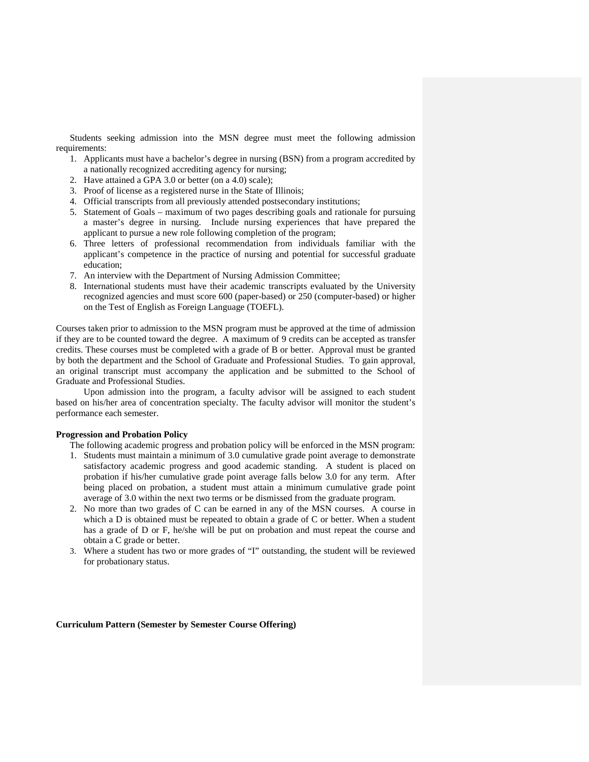Students seeking admission into the MSN degree must meet the following admission requirements:

- 1. Applicants must have a bachelor's degree in nursing (BSN) from a program accredited by a nationally recognized accrediting agency for nursing;
- 2. Have attained a GPA 3.0 or better (on a 4.0) scale);
- 3. Proof of license as a registered nurse in the State of Illinois;
- 4. Official transcripts from all previously attended postsecondary institutions;
- 5. Statement of Goals maximum of two pages describing goals and rationale for pursuing a master's degree in nursing. Include nursing experiences that have prepared the applicant to pursue a new role following completion of the program;
- 6. Three letters of professional recommendation from individuals familiar with the applicant's competence in the practice of nursing and potential for successful graduate education;
- 7. An interview with the Department of Nursing Admission Committee;
- 8. International students must have their academic transcripts evaluated by the University recognized agencies and must score 600 (paper-based) or 250 (computer-based) or higher on the Test of English as Foreign Language (TOEFL).

Courses taken prior to admission to the MSN program must be approved at the time of admission if they are to be counted toward the degree. A maximum of 9 credits can be accepted as transfer credits. These courses must be completed with a grade of B or better. Approval must be granted by both the department and the School of Graduate and Professional Studies. To gain approval, an original transcript must accompany the application and be submitted to the School of Graduate and Professional Studies.

Upon admission into the program, a faculty advisor will be assigned to each student based on his/her area of concentration specialty. The faculty advisor will monitor the student's performance each semester.

# **Progression and Probation Policy**

The following academic progress and probation policy will be enforced in the MSN program:

- 1. Students must maintain a minimum of 3.0 cumulative grade point average to demonstrate satisfactory academic progress and good academic standing. A student is placed on probation if his/her cumulative grade point average falls below 3.0 for any term. After being placed on probation, a student must attain a minimum cumulative grade point average of 3.0 within the next two terms or be dismissed from the graduate program.
- 2. No more than two grades of C can be earned in any of the MSN courses. A course in which a D is obtained must be repeated to obtain a grade of C or better. When a student has a grade of D or F, he/she will be put on probation and must repeat the course and obtain a C grade or better.
- 3. Where a student has two or more grades of "I" outstanding, the student will be reviewed for probationary status.

**Curriculum Pattern (Semester by Semester Course Offering)**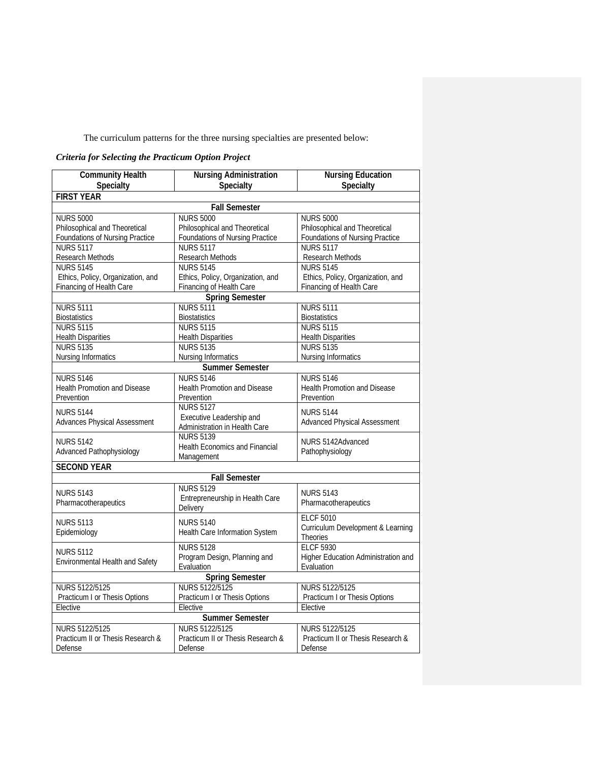The curriculum patterns for the three nursing specialties are presented below:

# *Criteria for Selecting the Practicum Option Project*

| <b>FIRST YEAR</b><br><b>Fall Semester</b><br><b>NURS 5000</b><br><b>NURS 5000</b><br><b>NURS 5000</b><br>Philosophical and Theoretical<br>Philosophical and Theoretical<br>Philosophical and Theoretical<br>Foundations of Nursing Practice<br><b>Foundations of Nursing Practice</b><br>Foundations of Nursing Practice<br><b>NURS 5117</b><br><b>NURS 5117</b><br><b>NURS 5117</b><br><b>Research Methods</b><br>Research Methods<br>Research Methods<br><b>NURS 5145</b><br><b>NURS 5145</b><br><b>NURS 5145</b><br>Ethics, Policy, Organization, and<br>Ethics, Policy, Organization, and<br>Ethics, Policy, Organization, and<br>Financing of Health Care<br>Financing of Health Care<br>Financing of Health Care<br><b>Spring Semester</b><br><b>NURS 5111</b><br><b>NURS 5111</b><br><b>NURS 5111</b><br><b>Biostatistics</b><br><b>Biostatistics</b><br><b>Biostatistics</b><br><b>NURS 5115</b><br><b>NURS 5115</b><br><b>NURS 5115</b><br><b>Health Disparities</b><br><b>Health Disparities</b><br><b>Health Disparities</b><br><b>NURS 5135</b><br><b>NURS 5135</b><br><b>NURS 5135</b><br>Nursing Informatics<br><b>Nursing Informatics</b><br>Nursing Informatics<br><b>Summer Semester</b><br><b>NURS 5146</b><br><b>NURS 5146</b><br><b>NURS 5146</b><br>Health Promotion and Disease<br><b>Health Promotion and Disease</b><br>Health Promotion and Disease<br>Prevention<br>Prevention<br>Prevention<br><b>NURS 5127</b><br><b>NURS 5144</b><br><b>NURS 5144</b><br>Executive Leadership and<br><b>Advanced Physical Assessment</b><br>Advances Physical Assessment<br>Administration in Health Care<br><b>NURS 5139</b><br>NURS 5142Advanced<br><b>NURS 5142</b><br>Health Economics and Financial<br>Advanced Pathophysiology<br>Pathophysiology<br>Management<br><b>SECOND YEAR</b><br><b>Fall Semester</b><br><b>NURS 5129</b><br><b>NURS 5143</b><br><b>NURS 5143</b><br>Entrepreneurship in Health Care<br>Pharmacotherapeutics<br>Pharmacotherapeutics<br>Delivery<br><b>ELCF 5010</b><br><b>NURS 5113</b><br><b>NURS 5140</b><br>Curriculum Development & Learning<br>Epidemiology<br>Health Care Information System<br><b>Theories</b><br><b>NURS 5128</b><br><b>ELCF 5930</b><br><b>NURS 5112</b><br>Program Design, Planning and<br>Higher Education Administration and<br>Environmental Health and Safety<br>Evaluation<br>Evaluation<br><b>Spring Semester</b><br>NURS 5122/5125<br>NURS 5122/5125<br>NURS 5122/5125<br>Practicum I or Thesis Options<br>Practicum I or Thesis Options<br>Practicum I or Thesis Options<br>Elective<br>Elective<br>Elective<br><b>Summer Semester</b><br>NURS 5122/5125<br><b>NURS 5122/5125</b><br>NURS 5122/5125<br>Practicum II or Thesis Research &<br>Practicum II or Thesis Research &<br>Practicum II or Thesis Research & | <b>Community Health</b><br>Specialty | <b>Nursing Administration</b><br>Specialty | <b>Nursing Education</b><br>Specialty |  |
|--------------------------------------------------------------------------------------------------------------------------------------------------------------------------------------------------------------------------------------------------------------------------------------------------------------------------------------------------------------------------------------------------------------------------------------------------------------------------------------------------------------------------------------------------------------------------------------------------------------------------------------------------------------------------------------------------------------------------------------------------------------------------------------------------------------------------------------------------------------------------------------------------------------------------------------------------------------------------------------------------------------------------------------------------------------------------------------------------------------------------------------------------------------------------------------------------------------------------------------------------------------------------------------------------------------------------------------------------------------------------------------------------------------------------------------------------------------------------------------------------------------------------------------------------------------------------------------------------------------------------------------------------------------------------------------------------------------------------------------------------------------------------------------------------------------------------------------------------------------------------------------------------------------------------------------------------------------------------------------------------------------------------------------------------------------------------------------------------------------------------------------------------------------------------------------------------------------------------------------------------------------------------------------------------------------------------------------------------------------------------------------------------------------------------------------------------------------------------------------------------------------------------------------------------------------------------------------------------------------------------------------------------------------------------------------------------------------------------------------------------------------------------------------------------|--------------------------------------|--------------------------------------------|---------------------------------------|--|
|                                                                                                                                                                                                                                                                                                                                                                                                                                                                                                                                                                                                                                                                                                                                                                                                                                                                                                                                                                                                                                                                                                                                                                                                                                                                                                                                                                                                                                                                                                                                                                                                                                                                                                                                                                                                                                                                                                                                                                                                                                                                                                                                                                                                                                                                                                                                                                                                                                                                                                                                                                                                                                                                                                                                                                                                  |                                      |                                            |                                       |  |
|                                                                                                                                                                                                                                                                                                                                                                                                                                                                                                                                                                                                                                                                                                                                                                                                                                                                                                                                                                                                                                                                                                                                                                                                                                                                                                                                                                                                                                                                                                                                                                                                                                                                                                                                                                                                                                                                                                                                                                                                                                                                                                                                                                                                                                                                                                                                                                                                                                                                                                                                                                                                                                                                                                                                                                                                  |                                      |                                            |                                       |  |
|                                                                                                                                                                                                                                                                                                                                                                                                                                                                                                                                                                                                                                                                                                                                                                                                                                                                                                                                                                                                                                                                                                                                                                                                                                                                                                                                                                                                                                                                                                                                                                                                                                                                                                                                                                                                                                                                                                                                                                                                                                                                                                                                                                                                                                                                                                                                                                                                                                                                                                                                                                                                                                                                                                                                                                                                  |                                      |                                            |                                       |  |
|                                                                                                                                                                                                                                                                                                                                                                                                                                                                                                                                                                                                                                                                                                                                                                                                                                                                                                                                                                                                                                                                                                                                                                                                                                                                                                                                                                                                                                                                                                                                                                                                                                                                                                                                                                                                                                                                                                                                                                                                                                                                                                                                                                                                                                                                                                                                                                                                                                                                                                                                                                                                                                                                                                                                                                                                  |                                      |                                            |                                       |  |
|                                                                                                                                                                                                                                                                                                                                                                                                                                                                                                                                                                                                                                                                                                                                                                                                                                                                                                                                                                                                                                                                                                                                                                                                                                                                                                                                                                                                                                                                                                                                                                                                                                                                                                                                                                                                                                                                                                                                                                                                                                                                                                                                                                                                                                                                                                                                                                                                                                                                                                                                                                                                                                                                                                                                                                                                  |                                      |                                            |                                       |  |
|                                                                                                                                                                                                                                                                                                                                                                                                                                                                                                                                                                                                                                                                                                                                                                                                                                                                                                                                                                                                                                                                                                                                                                                                                                                                                                                                                                                                                                                                                                                                                                                                                                                                                                                                                                                                                                                                                                                                                                                                                                                                                                                                                                                                                                                                                                                                                                                                                                                                                                                                                                                                                                                                                                                                                                                                  |                                      |                                            |                                       |  |
|                                                                                                                                                                                                                                                                                                                                                                                                                                                                                                                                                                                                                                                                                                                                                                                                                                                                                                                                                                                                                                                                                                                                                                                                                                                                                                                                                                                                                                                                                                                                                                                                                                                                                                                                                                                                                                                                                                                                                                                                                                                                                                                                                                                                                                                                                                                                                                                                                                                                                                                                                                                                                                                                                                                                                                                                  |                                      |                                            |                                       |  |
|                                                                                                                                                                                                                                                                                                                                                                                                                                                                                                                                                                                                                                                                                                                                                                                                                                                                                                                                                                                                                                                                                                                                                                                                                                                                                                                                                                                                                                                                                                                                                                                                                                                                                                                                                                                                                                                                                                                                                                                                                                                                                                                                                                                                                                                                                                                                                                                                                                                                                                                                                                                                                                                                                                                                                                                                  |                                      |                                            |                                       |  |
|                                                                                                                                                                                                                                                                                                                                                                                                                                                                                                                                                                                                                                                                                                                                                                                                                                                                                                                                                                                                                                                                                                                                                                                                                                                                                                                                                                                                                                                                                                                                                                                                                                                                                                                                                                                                                                                                                                                                                                                                                                                                                                                                                                                                                                                                                                                                                                                                                                                                                                                                                                                                                                                                                                                                                                                                  |                                      |                                            |                                       |  |
|                                                                                                                                                                                                                                                                                                                                                                                                                                                                                                                                                                                                                                                                                                                                                                                                                                                                                                                                                                                                                                                                                                                                                                                                                                                                                                                                                                                                                                                                                                                                                                                                                                                                                                                                                                                                                                                                                                                                                                                                                                                                                                                                                                                                                                                                                                                                                                                                                                                                                                                                                                                                                                                                                                                                                                                                  |                                      |                                            |                                       |  |
|                                                                                                                                                                                                                                                                                                                                                                                                                                                                                                                                                                                                                                                                                                                                                                                                                                                                                                                                                                                                                                                                                                                                                                                                                                                                                                                                                                                                                                                                                                                                                                                                                                                                                                                                                                                                                                                                                                                                                                                                                                                                                                                                                                                                                                                                                                                                                                                                                                                                                                                                                                                                                                                                                                                                                                                                  |                                      |                                            |                                       |  |
|                                                                                                                                                                                                                                                                                                                                                                                                                                                                                                                                                                                                                                                                                                                                                                                                                                                                                                                                                                                                                                                                                                                                                                                                                                                                                                                                                                                                                                                                                                                                                                                                                                                                                                                                                                                                                                                                                                                                                                                                                                                                                                                                                                                                                                                                                                                                                                                                                                                                                                                                                                                                                                                                                                                                                                                                  |                                      |                                            |                                       |  |
|                                                                                                                                                                                                                                                                                                                                                                                                                                                                                                                                                                                                                                                                                                                                                                                                                                                                                                                                                                                                                                                                                                                                                                                                                                                                                                                                                                                                                                                                                                                                                                                                                                                                                                                                                                                                                                                                                                                                                                                                                                                                                                                                                                                                                                                                                                                                                                                                                                                                                                                                                                                                                                                                                                                                                                                                  |                                      |                                            |                                       |  |
|                                                                                                                                                                                                                                                                                                                                                                                                                                                                                                                                                                                                                                                                                                                                                                                                                                                                                                                                                                                                                                                                                                                                                                                                                                                                                                                                                                                                                                                                                                                                                                                                                                                                                                                                                                                                                                                                                                                                                                                                                                                                                                                                                                                                                                                                                                                                                                                                                                                                                                                                                                                                                                                                                                                                                                                                  |                                      |                                            |                                       |  |
|                                                                                                                                                                                                                                                                                                                                                                                                                                                                                                                                                                                                                                                                                                                                                                                                                                                                                                                                                                                                                                                                                                                                                                                                                                                                                                                                                                                                                                                                                                                                                                                                                                                                                                                                                                                                                                                                                                                                                                                                                                                                                                                                                                                                                                                                                                                                                                                                                                                                                                                                                                                                                                                                                                                                                                                                  |                                      |                                            |                                       |  |
|                                                                                                                                                                                                                                                                                                                                                                                                                                                                                                                                                                                                                                                                                                                                                                                                                                                                                                                                                                                                                                                                                                                                                                                                                                                                                                                                                                                                                                                                                                                                                                                                                                                                                                                                                                                                                                                                                                                                                                                                                                                                                                                                                                                                                                                                                                                                                                                                                                                                                                                                                                                                                                                                                                                                                                                                  |                                      |                                            |                                       |  |
|                                                                                                                                                                                                                                                                                                                                                                                                                                                                                                                                                                                                                                                                                                                                                                                                                                                                                                                                                                                                                                                                                                                                                                                                                                                                                                                                                                                                                                                                                                                                                                                                                                                                                                                                                                                                                                                                                                                                                                                                                                                                                                                                                                                                                                                                                                                                                                                                                                                                                                                                                                                                                                                                                                                                                                                                  |                                      |                                            |                                       |  |
|                                                                                                                                                                                                                                                                                                                                                                                                                                                                                                                                                                                                                                                                                                                                                                                                                                                                                                                                                                                                                                                                                                                                                                                                                                                                                                                                                                                                                                                                                                                                                                                                                                                                                                                                                                                                                                                                                                                                                                                                                                                                                                                                                                                                                                                                                                                                                                                                                                                                                                                                                                                                                                                                                                                                                                                                  |                                      |                                            |                                       |  |
|                                                                                                                                                                                                                                                                                                                                                                                                                                                                                                                                                                                                                                                                                                                                                                                                                                                                                                                                                                                                                                                                                                                                                                                                                                                                                                                                                                                                                                                                                                                                                                                                                                                                                                                                                                                                                                                                                                                                                                                                                                                                                                                                                                                                                                                                                                                                                                                                                                                                                                                                                                                                                                                                                                                                                                                                  |                                      |                                            |                                       |  |
|                                                                                                                                                                                                                                                                                                                                                                                                                                                                                                                                                                                                                                                                                                                                                                                                                                                                                                                                                                                                                                                                                                                                                                                                                                                                                                                                                                                                                                                                                                                                                                                                                                                                                                                                                                                                                                                                                                                                                                                                                                                                                                                                                                                                                                                                                                                                                                                                                                                                                                                                                                                                                                                                                                                                                                                                  |                                      |                                            |                                       |  |
|                                                                                                                                                                                                                                                                                                                                                                                                                                                                                                                                                                                                                                                                                                                                                                                                                                                                                                                                                                                                                                                                                                                                                                                                                                                                                                                                                                                                                                                                                                                                                                                                                                                                                                                                                                                                                                                                                                                                                                                                                                                                                                                                                                                                                                                                                                                                                                                                                                                                                                                                                                                                                                                                                                                                                                                                  |                                      |                                            |                                       |  |
|                                                                                                                                                                                                                                                                                                                                                                                                                                                                                                                                                                                                                                                                                                                                                                                                                                                                                                                                                                                                                                                                                                                                                                                                                                                                                                                                                                                                                                                                                                                                                                                                                                                                                                                                                                                                                                                                                                                                                                                                                                                                                                                                                                                                                                                                                                                                                                                                                                                                                                                                                                                                                                                                                                                                                                                                  |                                      |                                            |                                       |  |
|                                                                                                                                                                                                                                                                                                                                                                                                                                                                                                                                                                                                                                                                                                                                                                                                                                                                                                                                                                                                                                                                                                                                                                                                                                                                                                                                                                                                                                                                                                                                                                                                                                                                                                                                                                                                                                                                                                                                                                                                                                                                                                                                                                                                                                                                                                                                                                                                                                                                                                                                                                                                                                                                                                                                                                                                  |                                      |                                            |                                       |  |
|                                                                                                                                                                                                                                                                                                                                                                                                                                                                                                                                                                                                                                                                                                                                                                                                                                                                                                                                                                                                                                                                                                                                                                                                                                                                                                                                                                                                                                                                                                                                                                                                                                                                                                                                                                                                                                                                                                                                                                                                                                                                                                                                                                                                                                                                                                                                                                                                                                                                                                                                                                                                                                                                                                                                                                                                  |                                      |                                            |                                       |  |
|                                                                                                                                                                                                                                                                                                                                                                                                                                                                                                                                                                                                                                                                                                                                                                                                                                                                                                                                                                                                                                                                                                                                                                                                                                                                                                                                                                                                                                                                                                                                                                                                                                                                                                                                                                                                                                                                                                                                                                                                                                                                                                                                                                                                                                                                                                                                                                                                                                                                                                                                                                                                                                                                                                                                                                                                  |                                      |                                            |                                       |  |
|                                                                                                                                                                                                                                                                                                                                                                                                                                                                                                                                                                                                                                                                                                                                                                                                                                                                                                                                                                                                                                                                                                                                                                                                                                                                                                                                                                                                                                                                                                                                                                                                                                                                                                                                                                                                                                                                                                                                                                                                                                                                                                                                                                                                                                                                                                                                                                                                                                                                                                                                                                                                                                                                                                                                                                                                  |                                      |                                            |                                       |  |
|                                                                                                                                                                                                                                                                                                                                                                                                                                                                                                                                                                                                                                                                                                                                                                                                                                                                                                                                                                                                                                                                                                                                                                                                                                                                                                                                                                                                                                                                                                                                                                                                                                                                                                                                                                                                                                                                                                                                                                                                                                                                                                                                                                                                                                                                                                                                                                                                                                                                                                                                                                                                                                                                                                                                                                                                  |                                      |                                            |                                       |  |
|                                                                                                                                                                                                                                                                                                                                                                                                                                                                                                                                                                                                                                                                                                                                                                                                                                                                                                                                                                                                                                                                                                                                                                                                                                                                                                                                                                                                                                                                                                                                                                                                                                                                                                                                                                                                                                                                                                                                                                                                                                                                                                                                                                                                                                                                                                                                                                                                                                                                                                                                                                                                                                                                                                                                                                                                  |                                      |                                            |                                       |  |
|                                                                                                                                                                                                                                                                                                                                                                                                                                                                                                                                                                                                                                                                                                                                                                                                                                                                                                                                                                                                                                                                                                                                                                                                                                                                                                                                                                                                                                                                                                                                                                                                                                                                                                                                                                                                                                                                                                                                                                                                                                                                                                                                                                                                                                                                                                                                                                                                                                                                                                                                                                                                                                                                                                                                                                                                  |                                      |                                            |                                       |  |
|                                                                                                                                                                                                                                                                                                                                                                                                                                                                                                                                                                                                                                                                                                                                                                                                                                                                                                                                                                                                                                                                                                                                                                                                                                                                                                                                                                                                                                                                                                                                                                                                                                                                                                                                                                                                                                                                                                                                                                                                                                                                                                                                                                                                                                                                                                                                                                                                                                                                                                                                                                                                                                                                                                                                                                                                  |                                      |                                            |                                       |  |
|                                                                                                                                                                                                                                                                                                                                                                                                                                                                                                                                                                                                                                                                                                                                                                                                                                                                                                                                                                                                                                                                                                                                                                                                                                                                                                                                                                                                                                                                                                                                                                                                                                                                                                                                                                                                                                                                                                                                                                                                                                                                                                                                                                                                                                                                                                                                                                                                                                                                                                                                                                                                                                                                                                                                                                                                  |                                      |                                            |                                       |  |
|                                                                                                                                                                                                                                                                                                                                                                                                                                                                                                                                                                                                                                                                                                                                                                                                                                                                                                                                                                                                                                                                                                                                                                                                                                                                                                                                                                                                                                                                                                                                                                                                                                                                                                                                                                                                                                                                                                                                                                                                                                                                                                                                                                                                                                                                                                                                                                                                                                                                                                                                                                                                                                                                                                                                                                                                  |                                      |                                            |                                       |  |
|                                                                                                                                                                                                                                                                                                                                                                                                                                                                                                                                                                                                                                                                                                                                                                                                                                                                                                                                                                                                                                                                                                                                                                                                                                                                                                                                                                                                                                                                                                                                                                                                                                                                                                                                                                                                                                                                                                                                                                                                                                                                                                                                                                                                                                                                                                                                                                                                                                                                                                                                                                                                                                                                                                                                                                                                  |                                      |                                            |                                       |  |
|                                                                                                                                                                                                                                                                                                                                                                                                                                                                                                                                                                                                                                                                                                                                                                                                                                                                                                                                                                                                                                                                                                                                                                                                                                                                                                                                                                                                                                                                                                                                                                                                                                                                                                                                                                                                                                                                                                                                                                                                                                                                                                                                                                                                                                                                                                                                                                                                                                                                                                                                                                                                                                                                                                                                                                                                  |                                      |                                            |                                       |  |
|                                                                                                                                                                                                                                                                                                                                                                                                                                                                                                                                                                                                                                                                                                                                                                                                                                                                                                                                                                                                                                                                                                                                                                                                                                                                                                                                                                                                                                                                                                                                                                                                                                                                                                                                                                                                                                                                                                                                                                                                                                                                                                                                                                                                                                                                                                                                                                                                                                                                                                                                                                                                                                                                                                                                                                                                  |                                      |                                            |                                       |  |
|                                                                                                                                                                                                                                                                                                                                                                                                                                                                                                                                                                                                                                                                                                                                                                                                                                                                                                                                                                                                                                                                                                                                                                                                                                                                                                                                                                                                                                                                                                                                                                                                                                                                                                                                                                                                                                                                                                                                                                                                                                                                                                                                                                                                                                                                                                                                                                                                                                                                                                                                                                                                                                                                                                                                                                                                  |                                      |                                            |                                       |  |
|                                                                                                                                                                                                                                                                                                                                                                                                                                                                                                                                                                                                                                                                                                                                                                                                                                                                                                                                                                                                                                                                                                                                                                                                                                                                                                                                                                                                                                                                                                                                                                                                                                                                                                                                                                                                                                                                                                                                                                                                                                                                                                                                                                                                                                                                                                                                                                                                                                                                                                                                                                                                                                                                                                                                                                                                  |                                      |                                            |                                       |  |
|                                                                                                                                                                                                                                                                                                                                                                                                                                                                                                                                                                                                                                                                                                                                                                                                                                                                                                                                                                                                                                                                                                                                                                                                                                                                                                                                                                                                                                                                                                                                                                                                                                                                                                                                                                                                                                                                                                                                                                                                                                                                                                                                                                                                                                                                                                                                                                                                                                                                                                                                                                                                                                                                                                                                                                                                  |                                      |                                            |                                       |  |
|                                                                                                                                                                                                                                                                                                                                                                                                                                                                                                                                                                                                                                                                                                                                                                                                                                                                                                                                                                                                                                                                                                                                                                                                                                                                                                                                                                                                                                                                                                                                                                                                                                                                                                                                                                                                                                                                                                                                                                                                                                                                                                                                                                                                                                                                                                                                                                                                                                                                                                                                                                                                                                                                                                                                                                                                  |                                      |                                            |                                       |  |
|                                                                                                                                                                                                                                                                                                                                                                                                                                                                                                                                                                                                                                                                                                                                                                                                                                                                                                                                                                                                                                                                                                                                                                                                                                                                                                                                                                                                                                                                                                                                                                                                                                                                                                                                                                                                                                                                                                                                                                                                                                                                                                                                                                                                                                                                                                                                                                                                                                                                                                                                                                                                                                                                                                                                                                                                  |                                      |                                            |                                       |  |
|                                                                                                                                                                                                                                                                                                                                                                                                                                                                                                                                                                                                                                                                                                                                                                                                                                                                                                                                                                                                                                                                                                                                                                                                                                                                                                                                                                                                                                                                                                                                                                                                                                                                                                                                                                                                                                                                                                                                                                                                                                                                                                                                                                                                                                                                                                                                                                                                                                                                                                                                                                                                                                                                                                                                                                                                  |                                      |                                            |                                       |  |
|                                                                                                                                                                                                                                                                                                                                                                                                                                                                                                                                                                                                                                                                                                                                                                                                                                                                                                                                                                                                                                                                                                                                                                                                                                                                                                                                                                                                                                                                                                                                                                                                                                                                                                                                                                                                                                                                                                                                                                                                                                                                                                                                                                                                                                                                                                                                                                                                                                                                                                                                                                                                                                                                                                                                                                                                  |                                      |                                            |                                       |  |
|                                                                                                                                                                                                                                                                                                                                                                                                                                                                                                                                                                                                                                                                                                                                                                                                                                                                                                                                                                                                                                                                                                                                                                                                                                                                                                                                                                                                                                                                                                                                                                                                                                                                                                                                                                                                                                                                                                                                                                                                                                                                                                                                                                                                                                                                                                                                                                                                                                                                                                                                                                                                                                                                                                                                                                                                  |                                      |                                            |                                       |  |
|                                                                                                                                                                                                                                                                                                                                                                                                                                                                                                                                                                                                                                                                                                                                                                                                                                                                                                                                                                                                                                                                                                                                                                                                                                                                                                                                                                                                                                                                                                                                                                                                                                                                                                                                                                                                                                                                                                                                                                                                                                                                                                                                                                                                                                                                                                                                                                                                                                                                                                                                                                                                                                                                                                                                                                                                  | Defense                              | Defense                                    | Defense                               |  |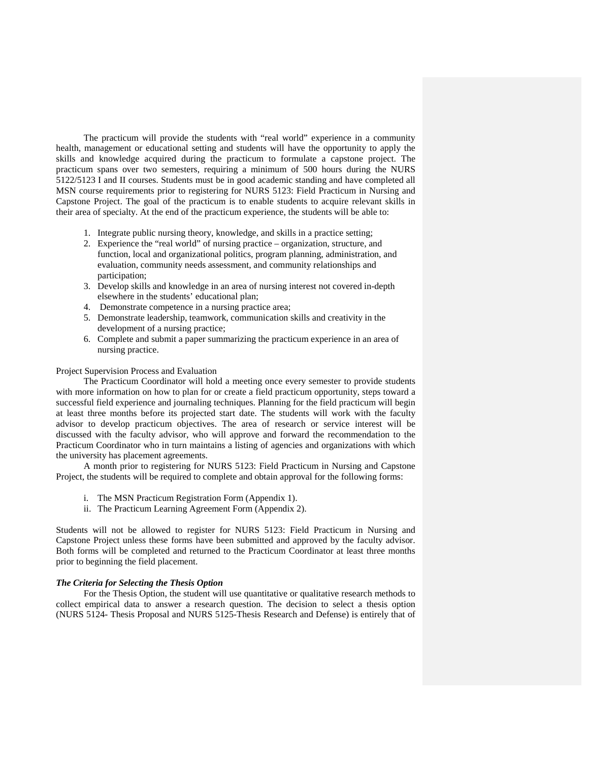The practicum will provide the students with "real world" experience in a community health, management or educational setting and students will have the opportunity to apply the skills and knowledge acquired during the practicum to formulate a capstone project. The practicum spans over two semesters, requiring a minimum of 500 hours during the NURS 5122/5123 I and II courses. Students must be in good academic standing and have completed all MSN course requirements prior to registering for NURS 5123: Field Practicum in Nursing and Capstone Project. The goal of the practicum is to enable students to acquire relevant skills in their area of specialty. At the end of the practicum experience, the students will be able to:

- 1. Integrate public nursing theory, knowledge, and skills in a practice setting;
- 2. Experience the "real world" of nursing practice organization, structure, and function, local and organizational politics, program planning, administration, and evaluation, community needs assessment, and community relationships and participation;
- 3. Develop skills and knowledge in an area of nursing interest not covered in-depth elsewhere in the students' educational plan;
- 4. Demonstrate competence in a nursing practice area;
- 5. Demonstrate leadership, teamwork, communication skills and creativity in the development of a nursing practice;
- 6. Complete and submit a paper summarizing the practicum experience in an area of nursing practice.

### Project Supervision Process and Evaluation

The Practicum Coordinator will hold a meeting once every semester to provide students with more information on how to plan for or create a field practicum opportunity, steps toward a successful field experience and journaling techniques. Planning for the field practicum will begin at least three months before its projected start date. The students will work with the faculty advisor to develop practicum objectives. The area of research or service interest will be discussed with the faculty advisor, who will approve and forward the recommendation to the Practicum Coordinator who in turn maintains a listing of agencies and organizations with which the university has placement agreements.

A month prior to registering for NURS 5123: Field Practicum in Nursing and Capstone Project, the students will be required to complete and obtain approval for the following forms:

- i. The MSN Practicum Registration Form (Appendix 1).
- ii. The Practicum Learning Agreement Form (Appendix 2).

Students will not be allowed to register for NURS 5123: Field Practicum in Nursing and Capstone Project unless these forms have been submitted and approved by the faculty advisor. Both forms will be completed and returned to the Practicum Coordinator at least three months prior to beginning the field placement.

#### *The Criteria for Selecting the Thesis Option*

For the Thesis Option, the student will use quantitative or qualitative research methods to collect empirical data to answer a research question. The decision to select a thesis option (NURS 5124- Thesis Proposal and NURS 5125-Thesis Research and Defense) is entirely that of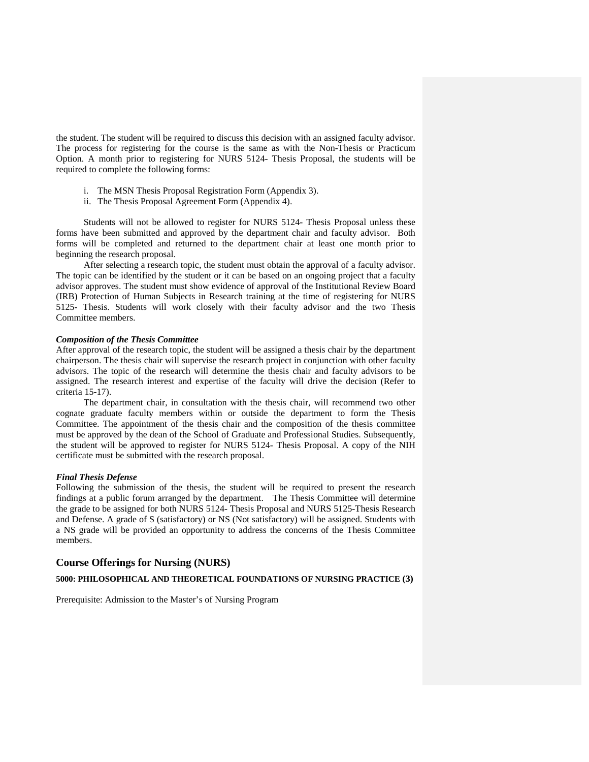the student. The student will be required to discuss this decision with an assigned faculty advisor. The process for registering for the course is the same as with the Non-Thesis or Practicum Option. A month prior to registering for NURS 5124- Thesis Proposal, the students will be required to complete the following forms:

- i. The MSN Thesis Proposal Registration Form (Appendix 3).
- ii. The Thesis Proposal Agreement Form (Appendix 4).

Students will not be allowed to register for NURS 5124- Thesis Proposal unless these forms have been submitted and approved by the department chair and faculty advisor. Both forms will be completed and returned to the department chair at least one month prior to beginning the research proposal.

After selecting a research topic, the student must obtain the approval of a faculty advisor. The topic can be identified by the student or it can be based on an ongoing project that a faculty advisor approves. The student must show evidence of approval of the Institutional Review Board (IRB) Protection of Human Subjects in Research training at the time of registering for NURS 5125- Thesis. Students will work closely with their faculty advisor and the two Thesis Committee members.

#### *Composition of the Thesis Committee*

After approval of the research topic, the student will be assigned a thesis chair by the department chairperson. The thesis chair will supervise the research project in conjunction with other faculty advisors. The topic of the research will determine the thesis chair and faculty advisors to be assigned. The research interest and expertise of the faculty will drive the decision (Refer to criteria 15-17).

The department chair, in consultation with the thesis chair, will recommend two other cognate graduate faculty members within or outside the department to form the Thesis Committee. The appointment of the thesis chair and the composition of the thesis committee must be approved by the dean of the School of Graduate and Professional Studies. Subsequently, the student will be approved to register for NURS 5124- Thesis Proposal. A copy of the NIH certificate must be submitted with the research proposal.

#### *Final Thesis Defense*

Following the submission of the thesis, the student will be required to present the research findings at a public forum arranged by the department. The Thesis Committee will determine the grade to be assigned for both NURS 5124- Thesis Proposal and NURS 5125-Thesis Research and Defense. A grade of S (satisfactory) or NS (Not satisfactory) will be assigned. Students with a NS grade will be provided an opportunity to address the concerns of the Thesis Committee members.

# **Course Offerings for Nursing (NURS)**

### **5000: PHILOSOPHICAL AND THEORETICAL FOUNDATIONS OF NURSING PRACTICE (3)**

Prerequisite: Admission to the Master's of Nursing Program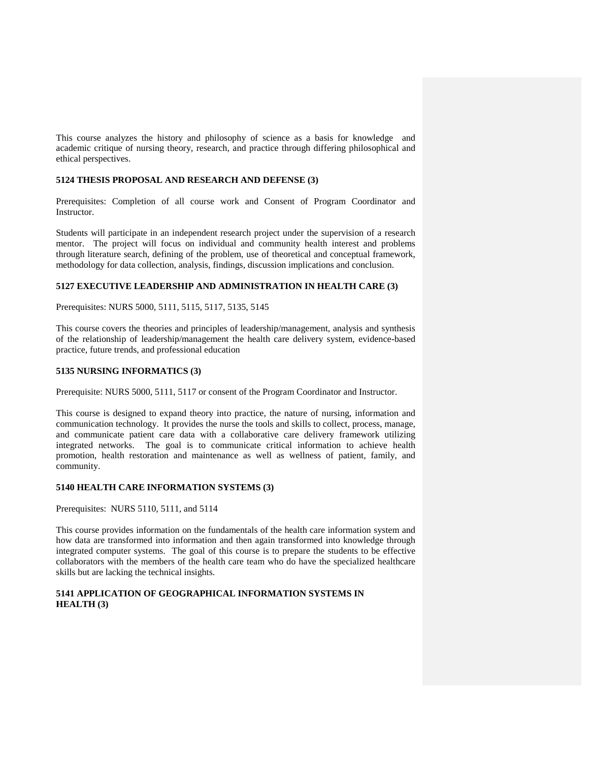This course analyzes the history and philosophy of science as a basis for knowledge and academic critique of nursing theory, research, and practice through differing philosophical and ethical perspectives.

### **5124 THESIS PROPOSAL AND RESEARCH AND DEFENSE (3)**

Prerequisites: Completion of all course work and Consent of Program Coordinator and Instructor.

Students will participate in an independent research project under the supervision of a research mentor. The project will focus on individual and community health interest and problems through literature search, defining of the problem, use of theoretical and conceptual framework, methodology for data collection, analysis, findings, discussion implications and conclusion.

## **5127 EXECUTIVE LEADERSHIP AND ADMINISTRATION IN HEALTH CARE (3)**

Prerequisites: NURS 5000, 5111, 5115, 5117, 5135, 5145

This course covers the theories and principles of leadership/management, analysis and synthesis of the relationship of leadership/management the health care delivery system, evidence-based practice, future trends, and professional education

### **5135 NURSING INFORMATICS (3)**

Prerequisite: NURS 5000, 5111, 5117 or consent of the Program Coordinator and Instructor.

This course is designed to expand theory into practice, the nature of nursing, information and communication technology. It provides the nurse the tools and skills to collect, process, manage, and communicate patient care data with a collaborative care delivery framework utilizing integrated networks. The goal is to communicate critical information to achieve health promotion, health restoration and maintenance as well as wellness of patient, family, and community.

### **5140 HEALTH CARE INFORMATION SYSTEMS (3)**

Prerequisites: NURS 5110, 5111, and 5114

This course provides information on the fundamentals of the health care information system and how data are transformed into information and then again transformed into knowledge through integrated computer systems. The goal of this course is to prepare the students to be effective collaborators with the members of the health care team who do have the specialized healthcare skills but are lacking the technical insights.

# **5141 APPLICATION OF GEOGRAPHICAL INFORMATION SYSTEMS IN HEALTH (3)**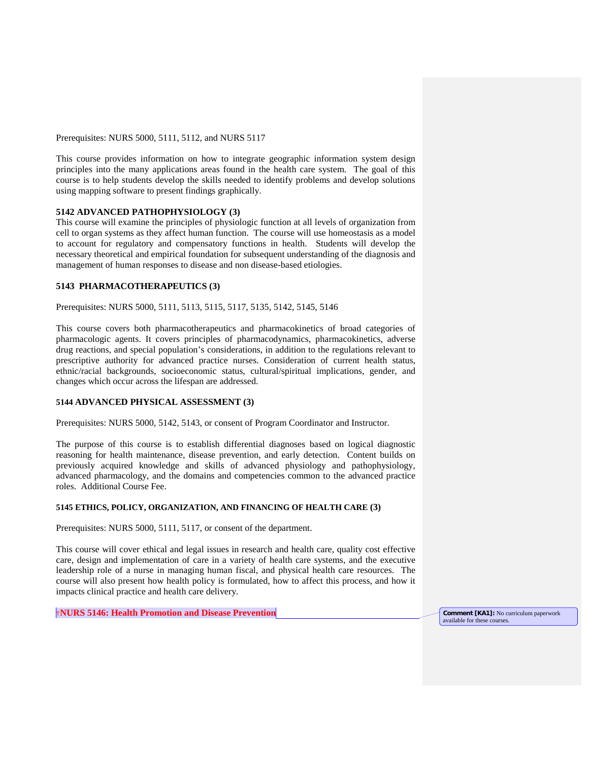#### Prerequisites: NURS 5000, 5111, 5112, and NURS 5117

This course provides information on how to integrate geographic information system design principles into the many applications areas found in the health care system. The goal of this course is to help students develop the skills needed to identify problems and develop solutions using mapping software to present findings graphically.

# **5142 ADVANCED PATHOPHYSIOLOGY (3)**

This course will examine the principles of physiologic function at all levels of organization from cell to organ systems as they affect human function. The course will use homeostasis as a model to account for regulatory and compensatory functions in health. Students will develop the necessary theoretical and empirical foundation for subsequent understanding of the diagnosis and management of human responses to disease and non disease-based etiologies.

### **5143 PHARMACOTHERAPEUTICS (3)**

Prerequisites: NURS 5000, 5111, 5113, 5115, 5117, 5135, 5142, 5145, 5146

This course covers both pharmacotherapeutics and pharmacokinetics of broad categories of pharmacologic agents. It covers principles of pharmacodynamics, pharmacokinetics, adverse drug reactions, and special population's considerations, in addition to the regulations relevant to prescriptive authority for advanced practice nurses. Consideration of current health status, ethnic/racial backgrounds, socioeconomic status, cultural/spiritual implications, gender, and changes which occur across the lifespan are addressed.

### **5144 ADVANCED PHYSICAL ASSESSMENT (3)**

Prerequisites: NURS 5000, 5142, 5143, or consent of Program Coordinator and Instructor.

The purpose of this course is to establish differential diagnoses based on logical diagnostic reasoning for health maintenance, disease prevention, and early detection. Content builds on previously acquired knowledge and skills of advanced physiology and pathophysiology, advanced pharmacology, and the domains and competencies common to the advanced practice roles. Additional Course Fee.

#### **5145 ETHICS, POLICY, ORGANIZATION, AND FINANCING OF HEALTH CARE (3)**

Prerequisites: NURS 5000, 5111, 5117, or consent of the department.

This course will cover ethical and legal issues in research and health care, quality cost effective care, design and implementation of care in a variety of health care systems, and the executive leadership role of a nurse in managing human fiscal, and physical health care resources. The course will also present how health policy is formulated, how to affect this process, and how it impacts clinical practice and health care delivery.

†**NURS 5146: Health Promotion and Disease Prevention Comment [KA1]:** No curriculum paperwork

available for these courses.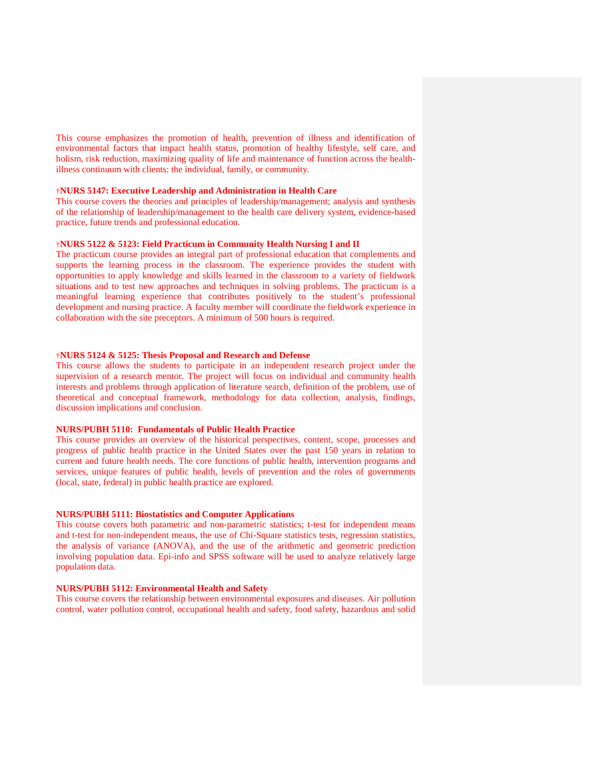This course emphasizes the promotion of health, prevention of illness and identification of environmental factors that impact health status, promotion of healthy lifestyle, self care, and holism, risk reduction, maximizing quality of life and maintenance of function across the healthillness continuum with clients: the individual, family, or community.

## †**NURS 5147: Executive Leadership and Administration in Health Care**

This course covers the theories and principles of leadership/management; analysis and synthesis of the relationship of leadership/management to the health care delivery system, evidence-based practice, future trends and professional education.

#### †**NURS 5122 & 5123: Field Practicum in Community Health Nursing I and II**

The practicum course provides an integral part of professional education that complements and supports the learning process in the classroom. The experience provides the student with opportunities to apply knowledge and skills learned in the classroom to a variety of fieldwork situations and to test new approaches and techniques in solving problems. The practicum is a meaningful learning experience that contributes positively to the student's professional development and nursing practice. A faculty member will coordinate the fieldwork experience in collaboration with the site preceptors. A minimum of 500 hours is required.

#### †**NURS 5124 & 5125: Thesis Proposal and Research and Defense**

This course allows the students to participate in an independent research project under the supervision of a research mentor. The project will focus on individual and community health interests and problems through application of literature search, definition of the problem, use of theoretical and conceptual framework, methodology for data collection, analysis, findings, discussion implications and conclusion.

#### **NURS/PUBH 5110: Fundamentals of Public Health Practice**

This course provides an overview of the historical perspectives, content, scope, processes and progress of public health practice in the United States over the past 150 years in relation to current and future health needs. The core functions of public health, intervention programs and services, unique features of public health, levels of prevention and the roles of governments (local, state, federal) in public health practice are explored.

#### **NURS/PUBH 5111: Biostatistics and Computer Applications**

This course covers both parametric and non-parametric statistics; t-test for independent means and t-test for non-independent means, the use of Chi-Square statistics tests, regression statistics, the analysis of variance (ANOVA), and the use of the arithmetic and geometric prediction involving population data. Epi-info and SPSS software will be used to analyze relatively large population data.

#### **NURS/PUBH 5112: Environmental Health and Safety**

This course covers the relationship between environmental exposures and diseases. Air pollution control, water pollution control, occupational health and safety, food safety, hazardous and solid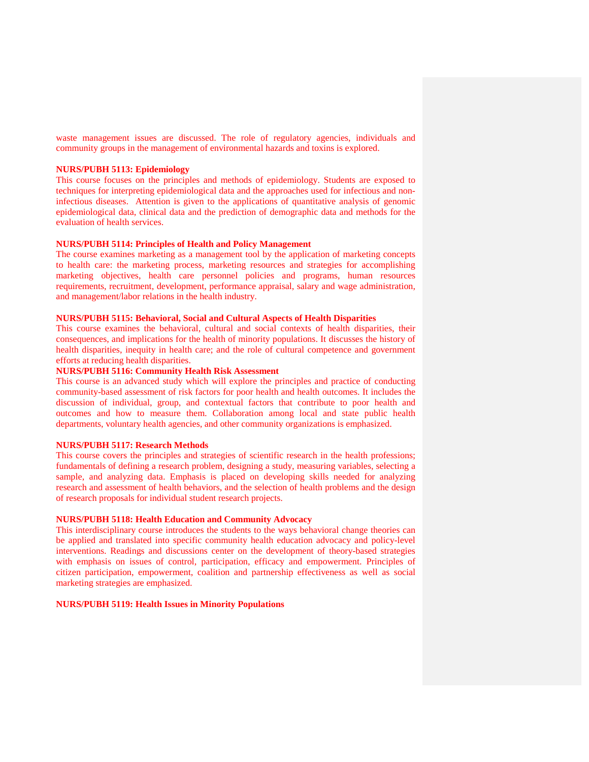waste management issues are discussed. The role of regulatory agencies, individuals and community groups in the management of environmental hazards and toxins is explored.

#### **NURS/PUBH 5113: Epidemiology**

This course focuses on the principles and methods of epidemiology. Students are exposed to techniques for interpreting epidemiological data and the approaches used for infectious and noninfectious diseases. Attention is given to the applications of quantitative analysis of genomic epidemiological data, clinical data and the prediction of demographic data and methods for the evaluation of health services.

### **NURS/PUBH 5114: Principles of Health and Policy Management**

The course examines marketing as a management tool by the application of marketing concepts to health care: the marketing process, marketing resources and strategies for accomplishing marketing objectives, health care personnel policies and programs, human resources requirements, recruitment, development, performance appraisal, salary and wage administration, and management/labor relations in the health industry.

### **NURS/PUBH 5115: Behavioral, Social and Cultural Aspects of Health Disparities**

This course examines the behavioral, cultural and social contexts of health disparities, their consequences, and implications for the health of minority populations. It discusses the history of health disparities, inequity in health care; and the role of cultural competence and government efforts at reducing health disparities.

# **NURS/PUBH 5116: Community Health Risk Assessment**

This course is an advanced study which will explore the principles and practice of conducting community-based assessment of risk factors for poor health and health outcomes. It includes the discussion of individual, group, and contextual factors that contribute to poor health and outcomes and how to measure them. Collaboration among local and state public health departments, voluntary health agencies, and other community organizations is emphasized.

# **NURS/PUBH 5117: Research Methods**

This course covers the principles and strategies of scientific research in the health professions; fundamentals of defining a research problem, designing a study, measuring variables, selecting a sample, and analyzing data. Emphasis is placed on developing skills needed for analyzing research and assessment of health behaviors, and the selection of health problems and the design of research proposals for individual student research projects.

# **NURS/PUBH 5118: Health Education and Community Advocacy**

This interdisciplinary course introduces the students to the ways behavioral change theories can be applied and translated into specific community health education advocacy and policy-level interventions. Readings and discussions center on the development of theory-based strategies with emphasis on issues of control, participation, efficacy and empowerment. Principles of citizen participation, empowerment, coalition and partnership effectiveness as well as social marketing strategies are emphasized.

#### **NURS/PUBH 5119: Health Issues in Minority Populations**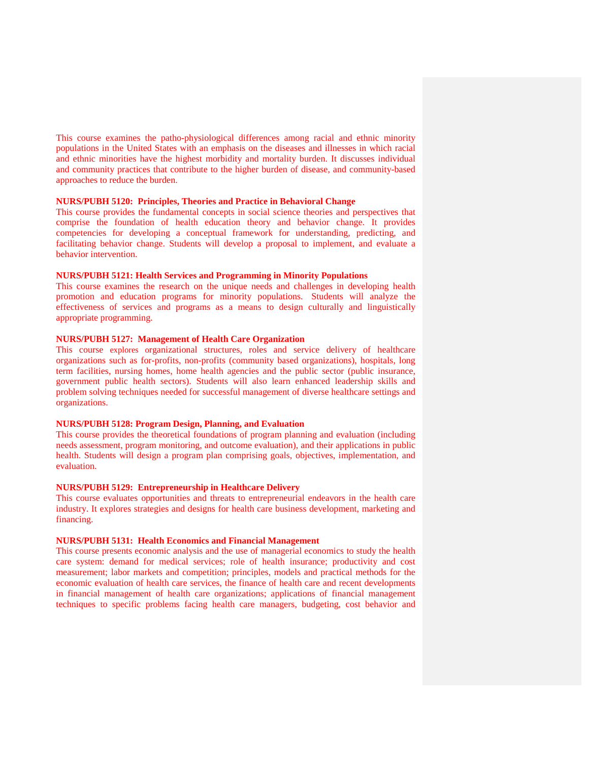This course examines the patho-physiological differences among racial and ethnic minority populations in the United States with an emphasis on the diseases and illnesses in which racial and ethnic minorities have the highest morbidity and mortality burden. It discusses individual and community practices that contribute to the higher burden of disease, and community-based approaches to reduce the burden.

### **NURS/PUBH 5120: Principles, Theories and Practice in Behavioral Change**

This course provides the fundamental concepts in social science theories and perspectives that comprise the foundation of health education theory and behavior change. It provides competencies for developing a conceptual framework for understanding, predicting, and facilitating behavior change. Students will develop a proposal to implement, and evaluate a behavior intervention.

# **NURS/PUBH 5121: Health Services and Programming in Minority Populations**

This course examines the research on the unique needs and challenges in developing health promotion and education programs for minority populations. Students will analyze the effectiveness of services and programs as a means to design culturally and linguistically appropriate programming.

# **NURS/PUBH 5127: Management of Health Care Organization**

This course explores organizational structures, roles and service delivery of healthcare organizations such as for-profits, non-profits (community based organizations), hospitals, long term facilities, nursing homes, home health agencies and the public sector (public insurance, government public health sectors). Students will also learn enhanced leadership skills and problem solving techniques needed for successful management of diverse healthcare settings and organizations.

### **NURS/PUBH 5128: Program Design, Planning, and Evaluation**

This course provides the theoretical foundations of program planning and evaluation (including needs assessment, program monitoring, and outcome evaluation), and their applications in public health. Students will design a program plan comprising goals, objectives, implementation, and evaluation.

### **NURS/PUBH 5129: Entrepreneurship in Healthcare Delivery**

This course evaluates opportunities and threats to entrepreneurial endeavors in the health care industry. It explores strategies and designs for health care business development, marketing and financing.

# **NURS/PUBH 5131: Health Economics and Financial Management**

This course presents economic analysis and the use of managerial economics to study the health care system: demand for medical services; role of health insurance; productivity and cost measurement; labor markets and competition; principles, models and practical methods for the economic evaluation of health care services, the finance of health care and recent developments in financial management of health care organizations; applications of financial management techniques to specific problems facing health care managers, budgeting, cost behavior and